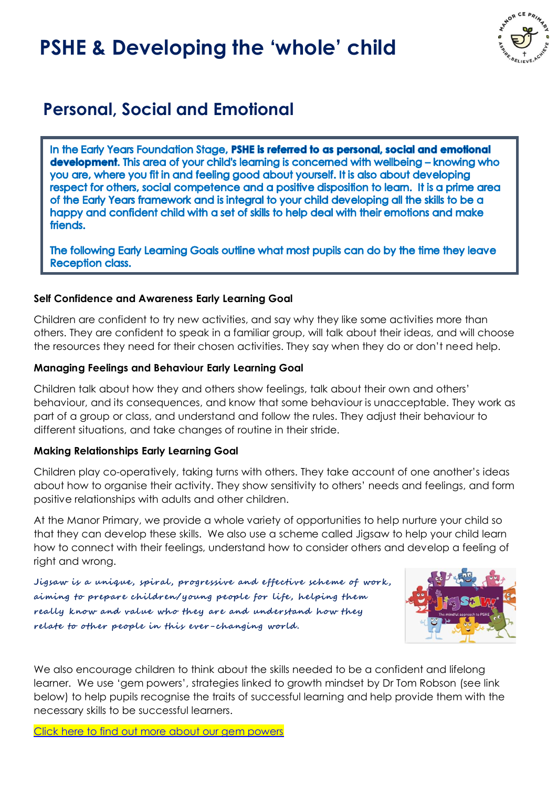# **PSHE & Developing the 'whole' child**



# **Personal, Social and Emotional**

In the Early Years Foundation Stage, PSHE is referred to as personal, social and emotional **development.** This area of your child's learning is concerned with wellbeing – knowing who you are, where you fit in and feeling good about yourself. It is also about developing respect for others, social competence and a positive disposition to learn. It is a prime area of the Early Years framework and is integral to your child developing all the skills to be a happy and confident child with a set of skills to help deal with their emotions and make friends.

The following Early Learning Goals outline what most pupils can do by the time they leave **Reception class.** 

#### **Self Confidence and Awareness Early Learning Goal**

Children are confident to try new activities, and say why they like some activities more than others. They are confident to speak in a familiar group, will talk about their ideas, and will choose the resources they need for their chosen activities. They say when they do or don't need help.

#### **Managing Feelings and Behaviour Early Learning Goal**

Children talk about how they and others show feelings, talk about their own and others' behaviour, and its consequences, and know that some behaviour is unacceptable. They work as part of a group or class, and understand and follow the rules. They adjust their behaviour to different situations, and take changes of routine in their stride.

#### **Making Relationships Early Learning Goal**

Children play co-operatively, taking turns with others. They take account of one another's ideas about how to organise their activity. They show sensitivity to others' needs and feelings, and form positive relationships with adults and other children.

At the Manor Primary, we provide a whole variety of opportunities to help nurture your child so that they can develop these skills. We also use a scheme called Jigsaw to help your child learn how to connect with their feelings, understand how to consider others and develop a feeling of right and wrong.

Jigsaw is a unique, spiral, progressive and effective scheme of work, aiming to prepare children/young people for life, helping them really know and value who they are and understand how they relate to other people in this ever-changing world.



We also encourage children to think about the skills needed to be a confident and lifelong learner. We use 'gem powers', strategies linked to growth mindset by Dr Tom Robson (see link below) to help pupils recognise the traits of successful learning and help provide them with the necessary skills to be successful learners.

[Click here to find out more about our gem powers](https://www.themanorcofeprimary.org.uk/learning-gems)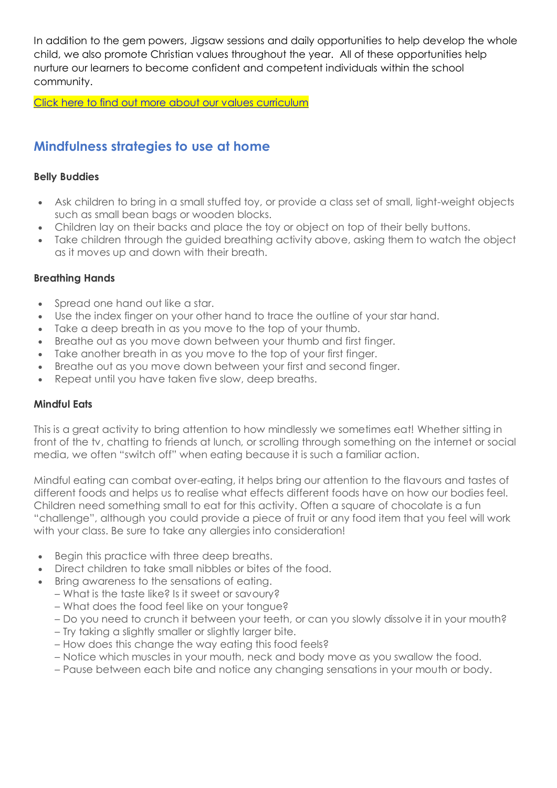In addition to the gem powers, Jigsaw sessions and daily opportunities to help develop the whole child, we also promote Christian values throughout the year. All of these opportunities help nurture our learners to become confident and competent individuals within the school community.

[Click here to find out more about our values curriculum](https://www.themanorcofeprimary.org.uk/our-values-curriculum)

## **Mindfulness strategies to use at home**

#### **Belly Buddies**

- Ask children to bring in a small stuffed toy, or provide a class set of small, light-weight objects such as small bean bags or wooden blocks.
- Children lay on their backs and place the toy or object on top of their belly buttons.
- Take children through the guided breathing activity above, asking them to watch the object as it moves up and down with their breath.

#### **Breathing Hands**

- Spread one hand out like a star.
- Use the index finger on your other hand to trace the outline of your star hand.
- Take a deep breath in as you move to the top of your thumb.
- Breathe out as you move down between your thumb and first finger.
- Take another breath in as you move to the top of your first finger.
- Breathe out as you move down between your first and second finger.
- Repeat until you have taken five slow, deep breaths.

#### **Mindful Eats**

This is a great activity to bring attention to how mindlessly we sometimes eat! Whether sitting in front of the tv, chatting to friends at lunch, or scrolling through something on the internet or social media, we often "switch off" when eating because it is such a familiar action.

Mindful eating can combat over-eating, it helps bring our attention to the flavours and tastes of different foods and helps us to realise what effects different foods have on how our bodies feel. Children need something small to eat for this activity. Often a square of chocolate is a fun "challenge", although you could provide a piece of fruit or any food item that you feel will work with your class. Be sure to take any allergies into consideration!

- Begin this practice with three deep breaths.
- Direct children to take small nibbles or bites of the food.
- Bring awareness to the sensations of eating.
	- What is the taste like? Is it sweet or savoury?
	- What does the food feel like on your tongue?
	- Do you need to crunch it between your teeth, or can you slowly dissolve it in your mouth?
	- Try taking a slightly smaller or slightly larger bite.
	- How does this change the way eating this food feels?
	- Notice which muscles in your mouth, neck and body move as you swallow the food.
	- Pause between each bite and notice any changing sensations in your mouth or body.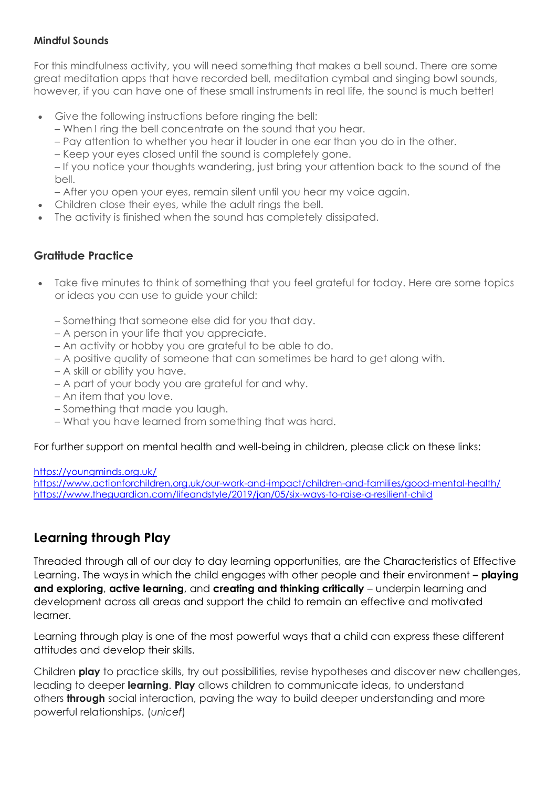#### **Mindful Sounds**

For this mindfulness activity, you will need something that makes a bell sound. There are some great meditation apps that have recorded bell, meditation cymbal and singing bowl sounds, however, if you can have one of these small instruments in real life, the sound is much better!

- Give the following instructions before ringing the bell:
	- When I ring the bell concentrate on the sound that you hear.
	- Pay attention to whether you hear it louder in one ear than you do in the other.
	- Keep your eyes closed until the sound is completely gone.

– If you notice your thoughts wandering, just bring your attention back to the sound of the bell.

- After you open your eyes, remain silent until you hear my voice again.
- Children close their eyes, while the adult rings the bell.
- The activity is finished when the sound has completely dissipated.

#### **Gratitude Practice**

- Take five minutes to think of something that you feel grateful for today. Here are some topics or ideas you can use to guide your child:
	- Something that someone else did for you that day.
	- A person in your life that you appreciate.
	- An activity or hobby you are grateful to be able to do.
	- A positive quality of someone that can sometimes be hard to get along with.
	- A skill or ability you have.
	- A part of your body you are grateful for and why.
	- An item that you love.
	- Something that made you laugh.
	- What you have learned from something that was hard.

For further support on mental health and well-being in children, please click on these links:

<https://youngminds.org.uk/>

<https://www.actionforchildren.org.uk/our-work-and-impact/children-and-families/good-mental-health/> <https://www.theguardian.com/lifeandstyle/2019/jan/05/six-ways-to-raise-a-resilient-child>

### **Learning through Play**

Threaded through all of our day to day learning opportunities, are the Characteristics of Effective Learning. The ways in which the child engages with other people and their environment **– playing and exploring**, **active learning**, and **creating and thinking critically** – underpin learning and development across all areas and support the child to remain an effective and motivated learner.

Learning through play is one of the most powerful ways that a child can express these different attitudes and develop their skills.

Children **play** to practice skills, try out possibilities, revise hypotheses and discover new challenges, leading to deeper **learning**. **Play** allows children to communicate ideas, to understand others **through** social interaction, paving the way to build deeper understanding and more powerful relationships. (*unicef*)